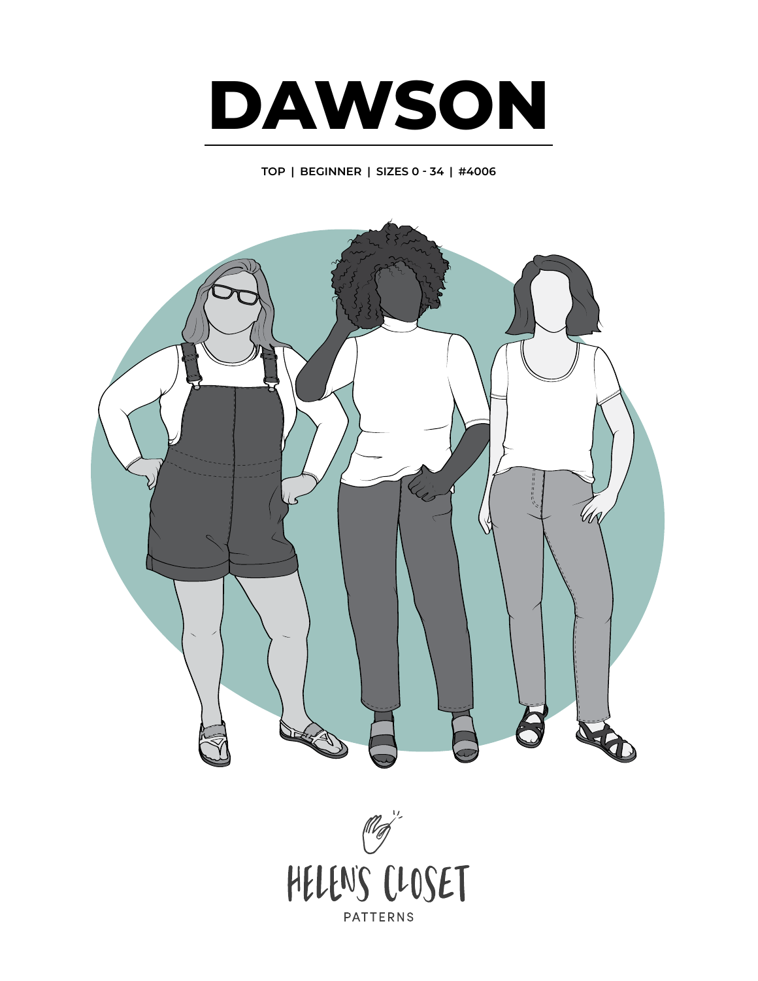

**TOP | BEGINNER | SIZES 0 - 34 | #4006**

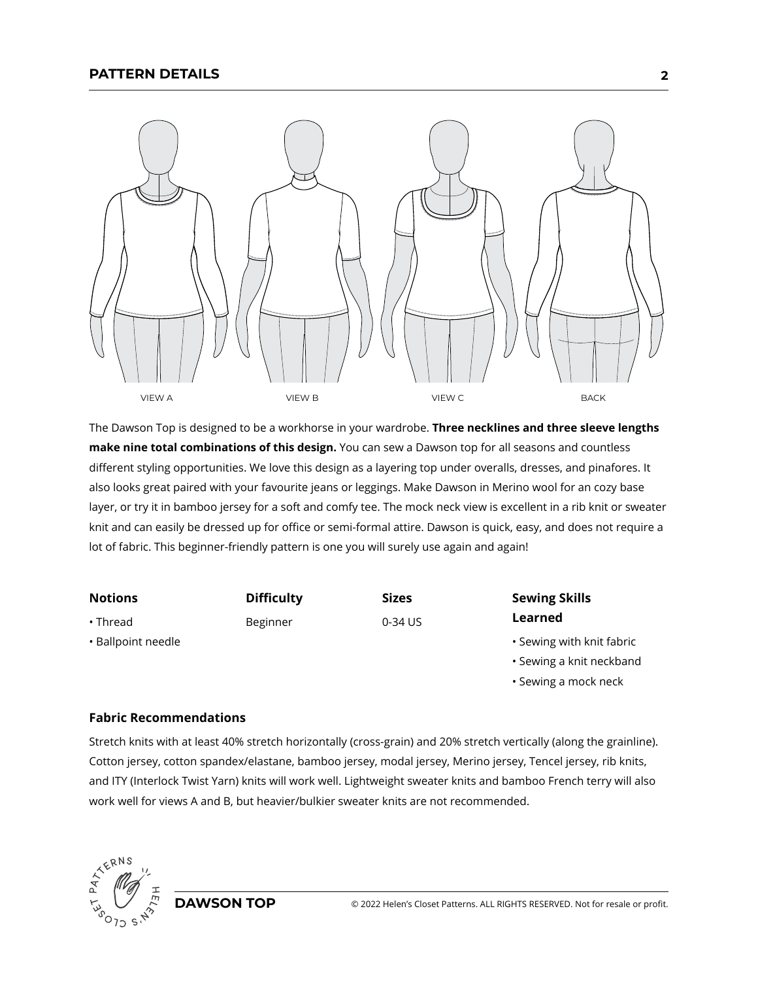

The Dawson Top is designed to be a workhorse in your wardrobe. **Three necklines and three sleeve lengths make nine total combinations of this design.** You can sew a Dawson top for all seasons and countless different styling opportunities. We love this design as a layering top under overalls, dresses, and pinafores. It also looks great paired with your favourite jeans or leggings. Make Dawson in Merino wool for an cozy base layer, or try it in bamboo jersey for a soft and comfy tee. The mock neck view is excellent in a rib knit or sweater knit and can easily be dressed up for office or semi-formal attire. Dawson is quick, easy, and does not require a lot of fabric. This beginner-friendly pattern is one you will surely use again and again!

| <b>Notions</b>     | <b>Difficulty</b> | <b>Sizes</b> | <b>Sewing Skills</b>      |
|--------------------|-------------------|--------------|---------------------------|
| $\cdot$ Thread     | Beginner          | 0-34 US      | Learned                   |
| • Ballpoint needle |                   |              | • Sewing with knit fabric |
|                    |                   |              | • Sewing a knit neckband  |
|                    |                   |              | • Sewing a mock neck      |

## **Fabric Recommendations**

Stretch knits with at least 40% stretch horizontally (cross-grain) and 20% stretch vertically (along the grainline). Cotton jersey, cotton spandex/elastane, bamboo jersey, modal jersey, Merino jersey, Tencel jersey, rib knits, and ITY (Interlock Twist Yarn) knits will work well. Lightweight sweater knits and bamboo French terry will also work well for views A and B, but heavier/bulkier sweater knits are not recommended.

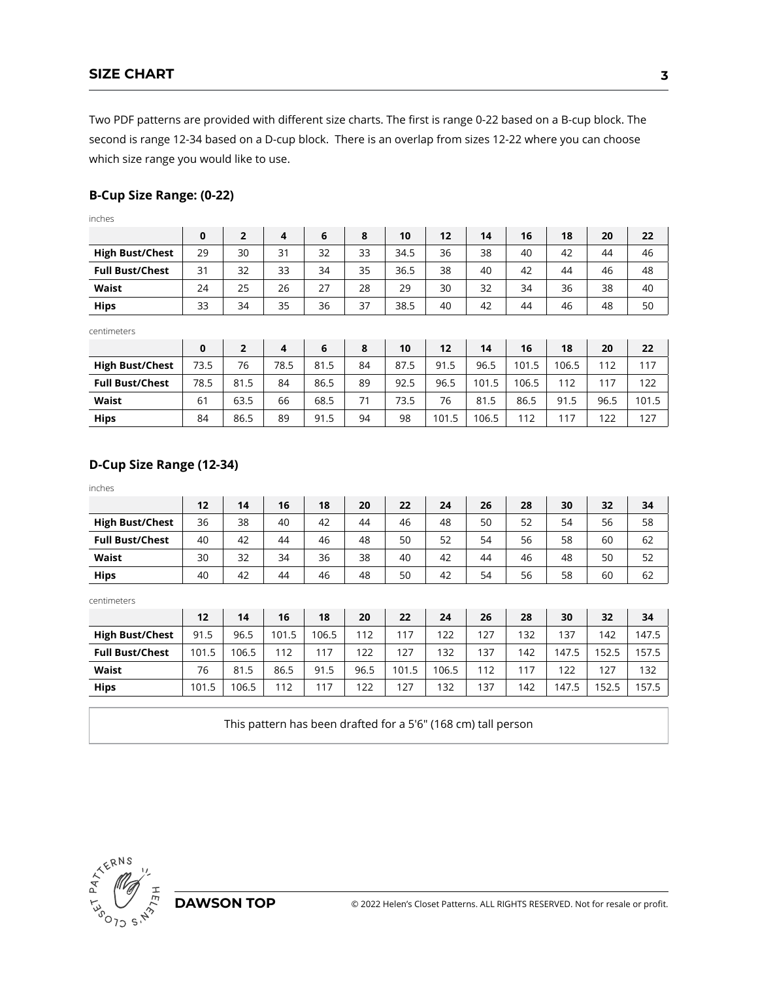Two PDF patterns are provided with different size charts. The first is range 0-22 based on a B-cup block. The second is range 12-34 based on a D-cup block. There is an overlap from sizes 12-22 where you can choose which size range you would like to use.

### **B-Cup Size Range: (0-22)**

inches

|                        | 0  |    |    | 6  | 8  | 10   | 12 | 14 | 16 | 18 | 20 | 22 |
|------------------------|----|----|----|----|----|------|----|----|----|----|----|----|
| <b>High Bust/Chest</b> | 29 | 30 | 31 | 32 | 33 | 34.5 | 36 | 38 | 40 | 42 | 44 | 46 |
| <b>Full Bust/Chest</b> | 31 | 32 | 33 | 34 | 35 | 36.5 | 38 | 40 | 42 | 44 | 46 | 48 |
| <b>Waist</b>           | 24 | 25 | 26 | 27 | 28 | 29   | 30 | 32 | 34 | 36 | 38 | 40 |
| <b>Hips</b>            | 33 | 34 | 35 | 36 | 37 | 38.5 | 40 | 42 | 44 | 46 | 48 | 50 |

centimeters

|                        | 0    |      |      | 6    | 8  | 10   | 12    | 14    | 16    | 18    | 20   | 22    |
|------------------------|------|------|------|------|----|------|-------|-------|-------|-------|------|-------|
| <b>High Bust/Chest</b> | 73.5 | 76   | 78.5 | 81.5 | 84 | 87.5 | 91.5  | 96.5  | 101.5 | 106.5 | 112  | 117   |
| <b>Full Bust/Chest</b> | 78.5 | 81.5 | 84   | 86.5 | 89 | 92.5 | 96.5  | 101.5 | 106.5 | 112   | 117  | 122   |
| Waist                  | 61   | 63.5 | 66   | 68.5 | 71 | 73.5 | 76    | 81.5  | 86.5  | 91.5  | 96.5 | 101.5 |
| <b>Hips</b>            | 84   | 86.5 | 89   | 91.5 | 94 | 98   | 101.5 | 106.5 | 112   | 117   | 122  | 127   |

# **D-Cup Size Range (12-34)**

| inches                 |       |       |       |       |      |       |       |     |     |       |       |       |
|------------------------|-------|-------|-------|-------|------|-------|-------|-----|-----|-------|-------|-------|
|                        | 12    | 14    | 16    | 18    | 20   | 22    | 24    | 26  | 28  | 30    | 32    | 34    |
| <b>High Bust/Chest</b> | 36    | 38    | 40    | 42    | 44   | 46    | 48    | 50  | 52  | 54    | 56    | 58    |
| <b>Full Bust/Chest</b> | 40    | 42    | 44    | 46    | 48   | 50    | 52    | 54  | 56  | 58    | 60    | 62    |
| <b>Waist</b>           | 30    | 32    | 34    | 36    | 38   | 40    | 42    | 44  | 46  | 48    | 50    | 52    |
| <b>Hips</b>            | 40    | 42    | 44    | 46    | 48   | 50    | 42    | 54  | 56  | 58    | 60    | 62    |
| centimeters            |       |       |       |       |      |       |       |     |     |       |       |       |
|                        | 12    | 14    | 16    | 18    | 20   | 22    | 24    | 26  | 28  | 30    | 32    | 34    |
| <b>High Bust/Chest</b> | 91.5  | 96.5  | 101.5 | 106.5 | 112  | 117   | 122   | 127 | 132 | 137   | 142   | 147.5 |
| <b>Full Bust/Chest</b> | 101.5 | 106.5 | 112   | 117   | 122  | 127   | 132   | 137 | 142 | 147.5 | 152.5 | 157.5 |
| <b>Waist</b>           | 76    | 81.5  | 86.5  | 91.5  | 96.5 | 101.5 | 106.5 | 112 | 117 | 122   | 127   | 132   |
| <b>Hips</b>            | 101.5 | 106.5 | 112   | 117   | 122  | 127   | 132   | 137 | 142 | 147.5 | 152.5 | 157.5 |

This pattern has been drafted for a 5'6" (168 cm) tall person

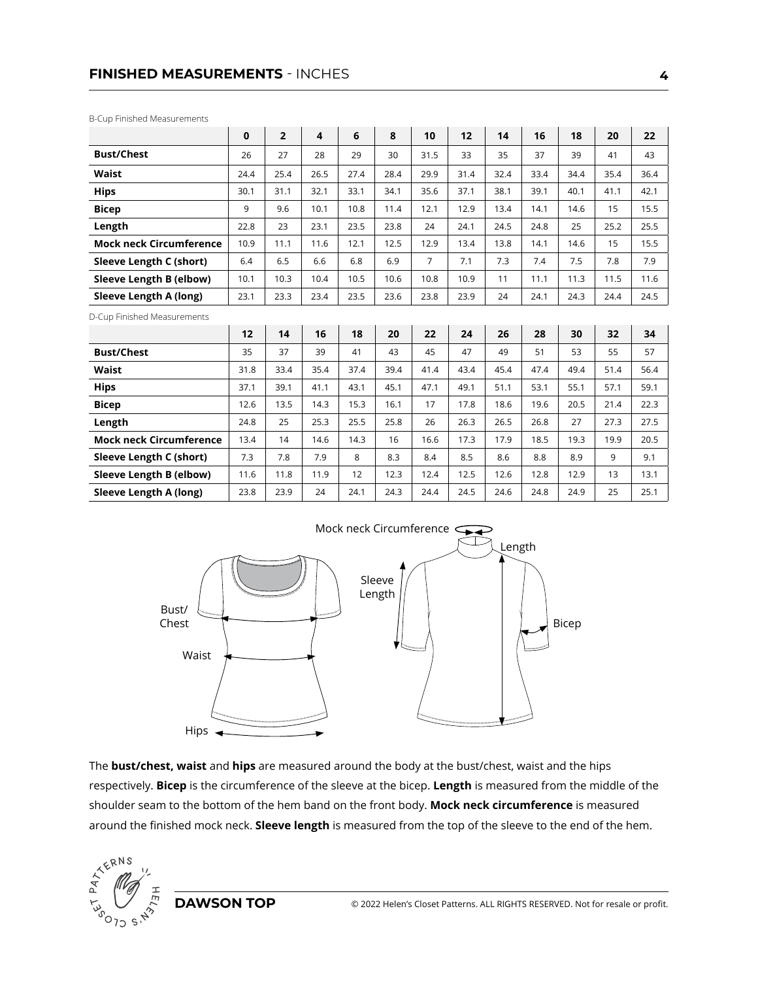## **FINISHED MEASUREMENTS** - INCHES

B-Cup Finished Measurements

|                                | $\mathbf 0$ | $\overline{2}$ | $\overline{\mathbf{4}}$ | 6    | 8    | 10             | 12   | 14   | 16   | 18   | 20   | 22   |
|--------------------------------|-------------|----------------|-------------------------|------|------|----------------|------|------|------|------|------|------|
| <b>Bust/Chest</b>              | 26          | 27             | 28                      | 29   | 30   | 31.5           | 33   | 35   | 37   | 39   | 41   | 43   |
| Waist                          | 24.4        | 25.4           | 26.5                    | 27.4 | 28.4 | 29.9           | 31.4 | 32.4 | 33.4 | 34.4 | 35.4 | 36.4 |
| <b>Hips</b>                    | 30.1        | 31.1           | 32.1                    | 33.1 | 34.1 | 35.6           | 37.1 | 38.1 | 39.1 | 40.1 | 41.1 | 42.1 |
| <b>Bicep</b>                   | 9           | 9.6            | 10.1                    | 10.8 | 11.4 | 12.1           | 12.9 | 13.4 | 14.1 | 14.6 | 15   | 15.5 |
| Length                         | 22.8        | 23             | 23.1                    | 23.5 | 23.8 | 24             | 24.1 | 24.5 | 24.8 | 25   | 25.2 | 25.5 |
| <b>Mock neck Circumference</b> | 10.9        | 11.1           | 11.6                    | 12.1 | 12.5 | 12.9           | 13.4 | 13.8 | 14.1 | 14.6 | 15   | 15.5 |
| Sleeve Length C (short)        | 6.4         | 6.5            | 6.6                     | 6.8  | 6.9  | $\overline{7}$ | 7.1  | 7.3  | 7.4  | 7.5  | 7.8  | 7.9  |
| Sleeve Length B (elbow)        | 10.1        | 10.3           | 10.4                    | 10.5 | 10.6 | 10.8           | 10.9 | 11   | 11.1 | 11.3 | 11.5 | 11.6 |
| Sleeve Length A (long)         | 23.1        | 23.3           | 23.4                    | 23.5 | 23.6 | 23.8           | 23.9 | 24   | 24.1 | 24.3 | 24.4 | 24.5 |
| D-Cup Finished Measurements    |             |                |                         |      |      |                |      |      |      |      |      |      |
|                                | 12          | 14             | 16                      | 18   | 20   | 22             | 24   | 26   | 28   | 30   | 32   | 34   |
| <b>Bust/Chest</b>              | 35          | 37             | 39                      | 41   | 43   | 45             | 47   | 49   | 51   | 53   | 55   | 57   |
| Waist                          | 31.8        | 33.4           | 35.4                    | 37.4 | 39.4 | 41.4           | 43.4 | 45.4 | 47.4 | 49.4 | 51.4 | 56.4 |
| <b>Hips</b>                    | 37.1        | 39.1           | 41.1                    | 43.1 | 45.1 | 47.1           | 49.1 | 51.1 | 53.1 | 55.1 | 57.1 | 59.1 |
| <b>Bicep</b>                   | 12.6        | 13.5           | 14.3                    | 15.3 | 16.1 | 17             | 17.8 | 18.6 | 19.6 | 20.5 | 21.4 | 22.3 |
| Length                         | 24.8        | 25             | 25.3                    | 25.5 | 25.8 | 26             | 26.3 | 26.5 | 26.8 | 27   | 27.3 | 27.5 |
| <b>Mock neck Circumference</b> | 13.4        | 14             | 14.6                    | 14.3 | 16   | 16.6           | 17.3 | 17.9 | 18.5 | 19.3 | 19.9 | 20.5 |
| Sleeve Length C (short)        | 7.3         | 7.8            | 7.9                     | 8    | 8.3  | 8.4            | 8.5  | 8.6  | 8.8  | 8.9  | 9    | 9.1  |
| Sleeve Length B (elbow)        | 11.6        | 11.8           | 11.9                    | 12   | 12.3 | 12.4           | 12.5 | 12.6 | 12.8 | 12.9 | 13   | 13.1 |
| Sleeve Length A (long)         | 23.8        | 23.9           | 24                      | 24.1 | 24.3 | 24.4           | 24.5 | 24.6 | 24.8 | 24.9 | 25   | 25.1 |



The **bust/chest, waist** and **hips** are measured around the body at the bust/chest, waist and the hips respectively. **Bicep** is the circumference of the sleeve at the bicep. **Length** is measured from the middle of the shoulder seam to the bottom of the hem band on the front body. **Mock neck circumference** is measured around the finished mock neck. **Sleeve length** is measured from the top of the sleeve to the end of the hem.

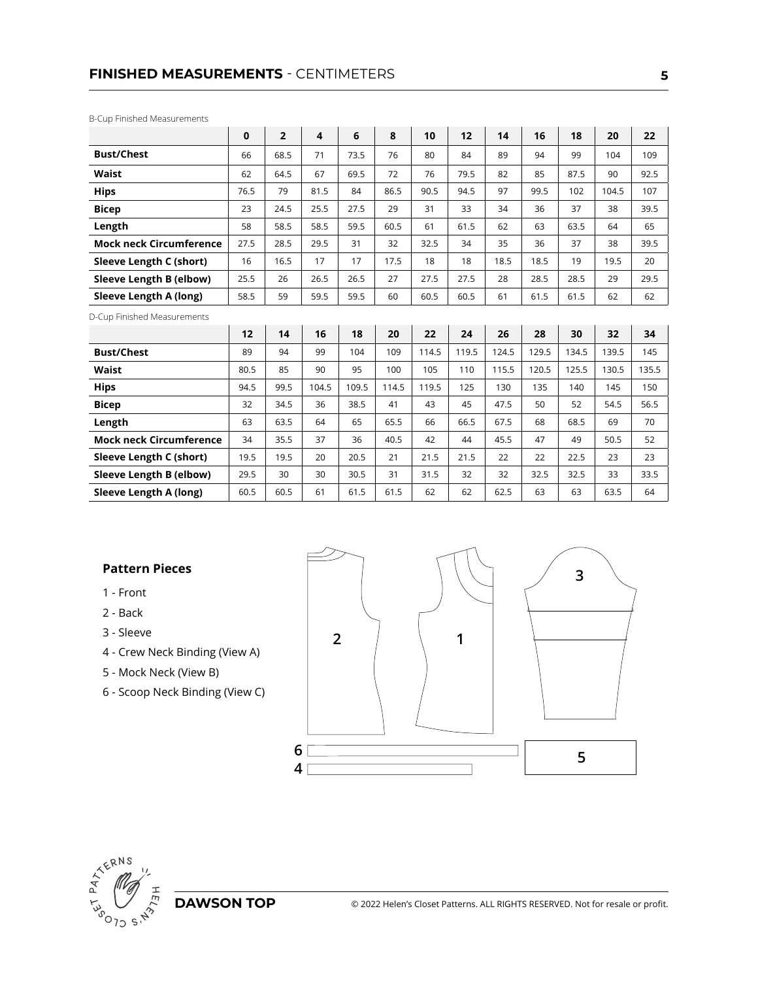## **FINISHED MEASUREMENTS** - CENTIMETERS

B-Cup Finished Measurements

|                                | $\mathbf 0$ | $\overline{2}$ | $\overline{\mathbf{4}}$ | 6     | 8     | 10    | 12    | 14    | 16    | 18    | 20    | 22    |
|--------------------------------|-------------|----------------|-------------------------|-------|-------|-------|-------|-------|-------|-------|-------|-------|
| <b>Bust/Chest</b>              | 66          | 68.5           | 71                      | 73.5  | 76    | 80    | 84    | 89    | 94    | 99    | 104   | 109   |
| <b>Waist</b>                   | 62          | 64.5           | 67                      | 69.5  | 72    | 76    | 79.5  | 82    | 85    | 87.5  | 90    | 92.5  |
| <b>Hips</b>                    | 76.5        | 79             | 81.5                    | 84    | 86.5  | 90.5  | 94.5  | 97    | 99.5  | 102   | 104.5 | 107   |
| <b>Bicep</b>                   | 23          | 24.5           | 25.5                    | 27.5  | 29    | 31    | 33    | 34    | 36    | 37    | 38    | 39.5  |
| Length                         | 58          | 58.5           | 58.5                    | 59.5  | 60.5  | 61    | 61.5  | 62    | 63    | 63.5  | 64    | 65    |
| <b>Mock neck Circumference</b> | 27.5        | 28.5           | 29.5                    | 31    | 32    | 32.5  | 34    | 35    | 36    | 37    | 38    | 39.5  |
| Sleeve Length C (short)        | 16          | 16.5           | 17                      | 17    | 17.5  | 18    | 18    | 18.5  | 18.5  | 19    | 19.5  | 20    |
| Sleeve Length B (elbow)        | 25.5        | 26             | 26.5                    | 26.5  | 27    | 27.5  | 27.5  | 28    | 28.5  | 28.5  | 29    | 29.5  |
| Sleeve Length A (long)         | 58.5        | 59             | 59.5                    | 59.5  | 60    | 60.5  | 60.5  | 61    | 61.5  | 61.5  | 62    | 62    |
| D-Cup Finished Measurements    |             |                |                         |       |       |       |       |       |       |       |       |       |
|                                | 12          | 14             | 16                      | 18    | 20    | 22    | 24    | 26    | 28    | 30    | 32    | 34    |
| <b>Bust/Chest</b>              | 89          | 94             | 99                      | 104   | 109   | 114.5 | 119.5 | 124.5 | 129.5 | 134.5 | 139.5 | 145   |
| <b>Waist</b>                   | 80.5        | 85             | 90                      | 95    | 100   | 105   | 110   | 115.5 | 120.5 | 125.5 | 130.5 | 135.5 |
| <b>Hips</b>                    | 94.5        | 99.5           | 104.5                   | 109.5 | 114.5 | 119.5 | 125   | 130   | 135   | 140   | 145   | 150   |
| <b>Bicep</b>                   | 32          | 34.5           | 36                      | 38.5  | 41    | 43    | 45    | 47.5  | 50    | 52    | 54.5  | 56.5  |
| Length                         | 63          | 63.5           | 64                      | 65    | 65.5  | 66    | 66.5  | 67.5  | 68    | 68.5  | 69    | 70    |
| <b>Mock neck Circumference</b> | 34          | 35.5           | 37                      | 36    | 40.5  | 42    | 44    | 45.5  | 47    | 49    | 50.5  | 52    |
| Sleeve Length C (short)        | 19.5        | 19.5           | 20                      | 20.5  | 21    | 21.5  | 21.5  | 22    | 22    | 22.5  | 23    | 23    |
| Sleeve Length B (elbow)        | 29.5        | 30             | 30                      | 30.5  | 31    | 31.5  | 32    | 32    | 32.5  | 32.5  | 33    | 33.5  |
| Sleeve Length A (long)         | 60.5        | 60.5           | 61                      | 61.5  | 61.5  | 62    | 62    | 62.5  | 63    | 63    | 63.5  | 64    |

### **Pattern Pieces**

- 1 Front
- 2 Back
- 3 Sleeve
- 4 Crew Neck Binding (View A)
- 5 Mock Neck (View B)
- 6 Scoop Neck Binding (View C)